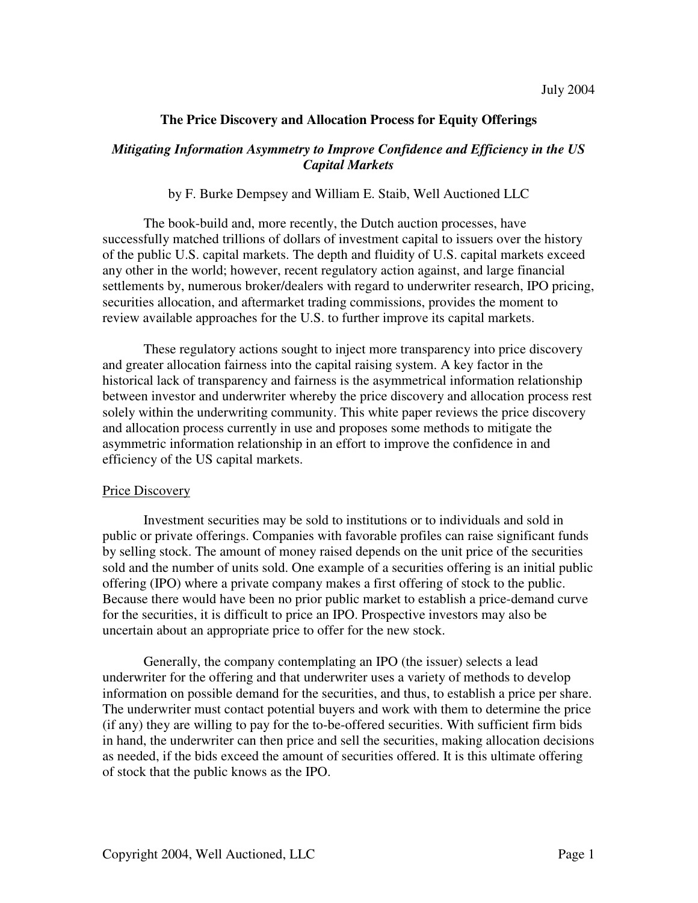# **The Price Discovery and Allocation Process for Equity Offerings**

# *Mitigating Information Asymmetry to Improve Confidence and Efficiency in the US Capital Markets*

# by F. Burke Dempsey and William E. Staib, Well Auctioned LLC

The book-build and, more recently, the Dutch auction processes, have successfully matched trillions of dollars of investment capital to issuers over the history of the public U.S. capital markets. The depth and fluidity of U.S. capital markets exceed any other in the world; however, recent regulatory action against, and large financial settlements by, numerous broker/dealers with regard to underwriter research, IPO pricing, securities allocation, and aftermarket trading commissions, provides the moment to review available approaches for the U.S. to further improve its capital markets.

These regulatory actions sought to inject more transparency into price discovery and greater allocation fairness into the capital raising system. A key factor in the historical lack of transparency and fairness is the asymmetrical information relationship between investor and underwriter whereby the price discovery and allocation process rest solely within the underwriting community. This white paper reviews the price discovery and allocation process currently in use and proposes some methods to mitigate the asymmetric information relationship in an effort to improve the confidence in and efficiency of the US capital markets.

### Price Discovery

Investment securities may be sold to institutions or to individuals and sold in public or private offerings. Companies with favorable profiles can raise significant funds by selling stock. The amount of money raised depends on the unit price of the securities sold and the number of units sold. One example of a securities offering is an initial public offering (IPO) where a private company makes a first offering of stock to the public. Because there would have been no prior public market to establish a price-demand curve for the securities, it is difficult to price an IPO. Prospective investors may also be uncertain about an appropriate price to offer for the new stock.

Generally, the company contemplating an IPO (the issuer) selects a lead underwriter for the offering and that underwriter uses a variety of methods to develop information on possible demand for the securities, and thus, to establish a price per share. The underwriter must contact potential buyers and work with them to determine the price (if any) they are willing to pay for the to-be-offered securities. With sufficient firm bids in hand, the underwriter can then price and sell the securities, making allocation decisions as needed, if the bids exceed the amount of securities offered. It is this ultimate offering of stock that the public knows as the IPO.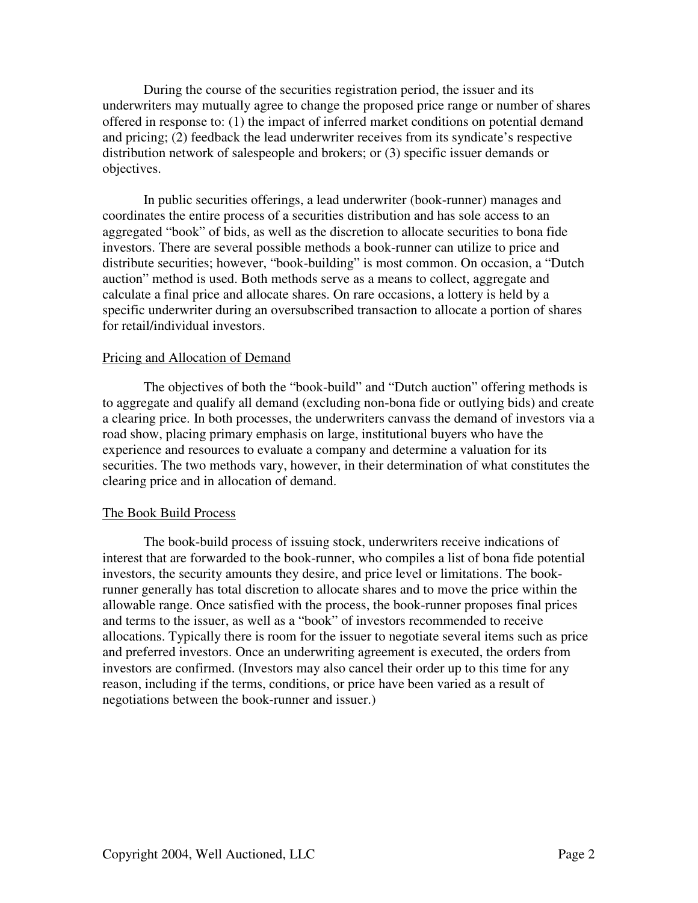During the course of the securities registration period, the issuer and its underwriters may mutually agree to change the proposed price range or number of shares offered in response to: (1) the impact of inferred market conditions on potential demand and pricing; (2) feedback the lead underwriter receives from its syndicate's respective distribution network of salespeople and brokers; or (3) specific issuer demands or objectives.

In public securities offerings, a lead underwriter (book-runner) manages and coordinates the entire process of a securities distribution and has sole access to an aggregated "book" of bids, as well as the discretion to allocate securities to bona fide investors. There are several possible methods a book-runner can utilize to price and distribute securities; however, "book-building" is most common. On occasion, a "Dutch auction" method is used. Both methods serve as a means to collect, aggregate and calculate a final price and allocate shares. On rare occasions, a lottery is held by a specific underwriter during an oversubscribed transaction to allocate a portion of shares for retail/individual investors.

#### Pricing and Allocation of Demand

The objectives of both the "book-build" and "Dutch auction" offering methods is to aggregate and qualify all demand (excluding non-bona fide or outlying bids) and create a clearing price. In both processes, the underwriters canvass the demand of investors via a road show, placing primary emphasis on large, institutional buyers who have the experience and resources to evaluate a company and determine a valuation for its securities. The two methods vary, however, in their determination of what constitutes the clearing price and in allocation of demand.

#### The Book Build Process

The book-build process of issuing stock, underwriters receive indications of interest that are forwarded to the book-runner, who compiles a list of bona fide potential investors, the security amounts they desire, and price level or limitations. The bookrunner generally has total discretion to allocate shares and to move the price within the allowable range. Once satisfied with the process, the book-runner proposes final prices and terms to the issuer, as well as a "book" of investors recommended to receive allocations. Typically there is room for the issuer to negotiate several items such as price and preferred investors. Once an underwriting agreement is executed, the orders from investors are confirmed. (Investors may also cancel their order up to this time for any reason, including if the terms, conditions, or price have been varied as a result of negotiations between the book-runner and issuer.)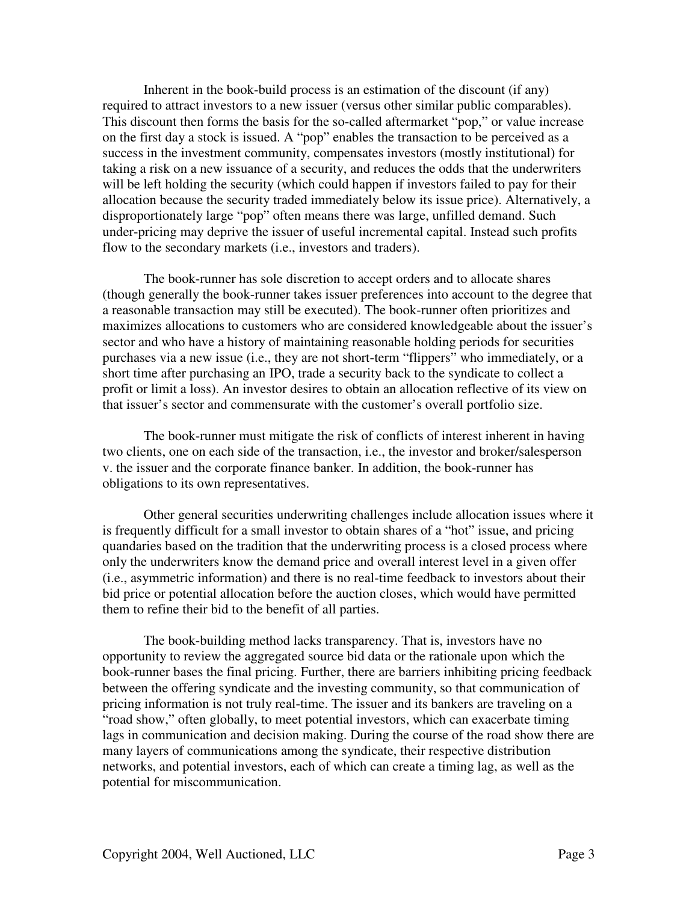Inherent in the book-build process is an estimation of the discount (if any) required to attract investors to a new issuer (versus other similar public comparables). This discount then forms the basis for the so-called aftermarket "pop," or value increase on the first day a stock is issued. A "pop" enables the transaction to be perceived as a success in the investment community, compensates investors (mostly institutional) for taking a risk on a new issuance of a security, and reduces the odds that the underwriters will be left holding the security (which could happen if investors failed to pay for their allocation because the security traded immediately below its issue price). Alternatively, a disproportionately large "pop" often means there was large, unfilled demand. Such under-pricing may deprive the issuer of useful incremental capital. Instead such profits flow to the secondary markets (i.e., investors and traders).

The book-runner has sole discretion to accept orders and to allocate shares (though generally the book-runner takes issuer preferences into account to the degree that a reasonable transaction may still be executed). The book-runner often prioritizes and maximizes allocations to customers who are considered knowledgeable about the issuer's sector and who have a history of maintaining reasonable holding periods for securities purchases via a new issue (i.e., they are not short-term "flippers" who immediately, or a short time after purchasing an IPO, trade a security back to the syndicate to collect a profit or limit a loss). An investor desires to obtain an allocation reflective of its view on that issuer's sector and commensurate with the customer's overall portfolio size.

The book-runner must mitigate the risk of conflicts of interest inherent in having two clients, one on each side of the transaction, i.e., the investor and broker/salesperson v. the issuer and the corporate finance banker. In addition, the book-runner has obligations to its own representatives.

Other general securities underwriting challenges include allocation issues where it is frequently difficult for a small investor to obtain shares of a "hot" issue, and pricing quandaries based on the tradition that the underwriting process is a closed process where only the underwriters know the demand price and overall interest level in a given offer (i.e., asymmetric information) and there is no real-time feedback to investors about their bid price or potential allocation before the auction closes, which would have permitted them to refine their bid to the benefit of all parties.

The book-building method lacks transparency. That is, investors have no opportunity to review the aggregated source bid data or the rationale upon which the book-runner bases the final pricing. Further, there are barriers inhibiting pricing feedback between the offering syndicate and the investing community, so that communication of pricing information is not truly real-time. The issuer and its bankers are traveling on a "road show," often globally, to meet potential investors, which can exacerbate timing lags in communication and decision making. During the course of the road show there are many layers of communications among the syndicate, their respective distribution networks, and potential investors, each of which can create a timing lag, as well as the potential for miscommunication.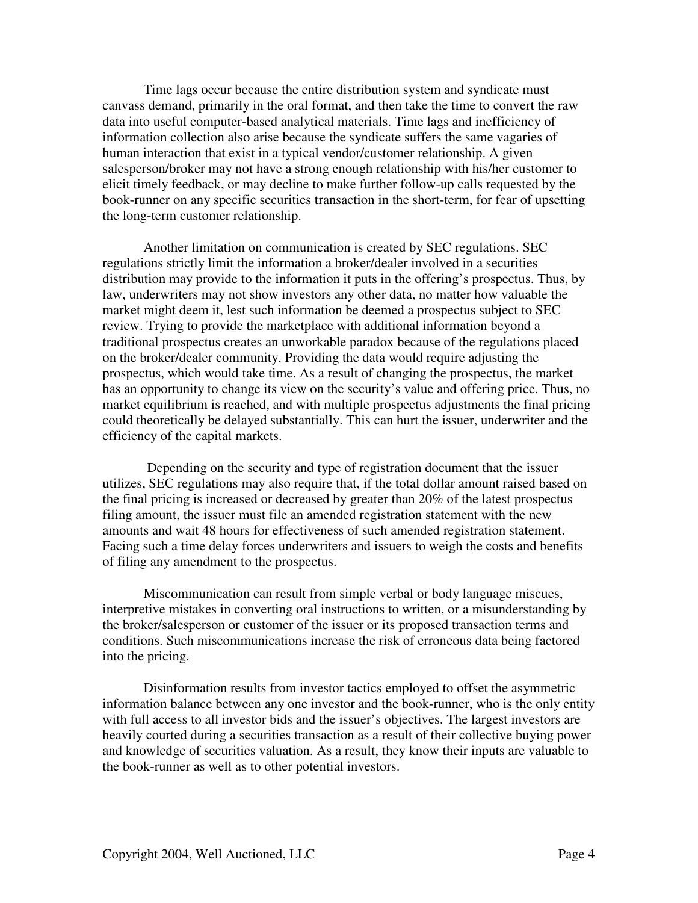Time lags occur because the entire distribution system and syndicate must canvass demand, primarily in the oral format, and then take the time to convert the raw data into useful computer-based analytical materials. Time lags and inefficiency of information collection also arise because the syndicate suffers the same vagaries of human interaction that exist in a typical vendor/customer relationship. A given salesperson/broker may not have a strong enough relationship with his/her customer to elicit timely feedback, or may decline to make further follow-up calls requested by the book-runner on any specific securities transaction in the short-term, for fear of upsetting the long-term customer relationship.

Another limitation on communication is created by SEC regulations. SEC regulations strictly limit the information a broker/dealer involved in a securities distribution may provide to the information it puts in the offering's prospectus. Thus, by law, underwriters may not show investors any other data, no matter how valuable the market might deem it, lest such information be deemed a prospectus subject to SEC review. Trying to provide the marketplace with additional information beyond a traditional prospectus creates an unworkable paradox because of the regulations placed on the broker/dealer community. Providing the data would require adjusting the prospectus, which would take time. As a result of changing the prospectus, the market has an opportunity to change its view on the security's value and offering price. Thus, no market equilibrium is reached, and with multiple prospectus adjustments the final pricing could theoretically be delayed substantially. This can hurt the issuer, underwriter and the efficiency of the capital markets.

Depending on the security and type of registration document that the issuer utilizes, SEC regulations may also require that, if the total dollar amount raised based on the final pricing is increased or decreased by greater than 20% of the latest prospectus filing amount, the issuer must file an amended registration statement with the new amounts and wait 48 hours for effectiveness of such amended registration statement. Facing such a time delay forces underwriters and issuers to weigh the costs and benefits of filing any amendment to the prospectus.

Miscommunication can result from simple verbal or body language miscues, interpretive mistakes in converting oral instructions to written, or a misunderstanding by the broker/salesperson or customer of the issuer or its proposed transaction terms and conditions. Such miscommunications increase the risk of erroneous data being factored into the pricing.

Disinformation results from investor tactics employed to offset the asymmetric information balance between any one investor and the book-runner, who is the only entity with full access to all investor bids and the issuer's objectives. The largest investors are heavily courted during a securities transaction as a result of their collective buying power and knowledge of securities valuation. As a result, they know their inputs are valuable to the book-runner as well as to other potential investors.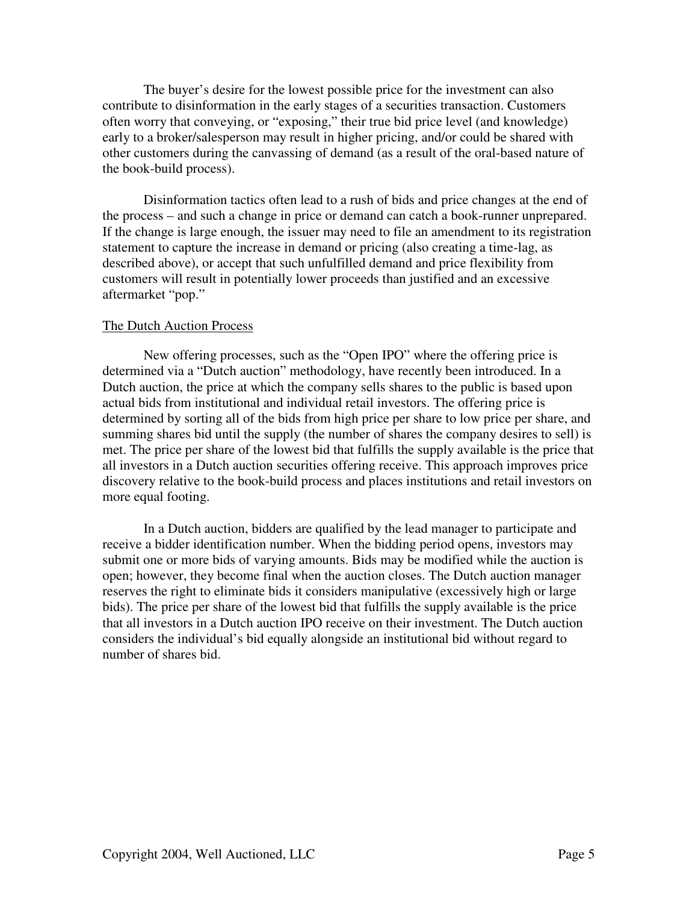The buyer's desire for the lowest possible price for the investment can also contribute to disinformation in the early stages of a securities transaction. Customers often worry that conveying, or "exposing," their true bid price level (and knowledge) early to a broker/salesperson may result in higher pricing, and/or could be shared with other customers during the canvassing of demand (as a result of the oral-based nature of the book-build process).

Disinformation tactics often lead to a rush of bids and price changes at the end of the process – and such a change in price or demand can catch a book-runner unprepared. If the change is large enough, the issuer may need to file an amendment to its registration statement to capture the increase in demand or pricing (also creating a time-lag, as described above), or accept that such unfulfilled demand and price flexibility from customers will result in potentially lower proceeds than justified and an excessive aftermarket "pop."

#### The Dutch Auction Process

New offering processes, such as the "Open IPO" where the offering price is determined via a "Dutch auction" methodology, have recently been introduced. In a Dutch auction, the price at which the company sells shares to the public is based upon actual bids from institutional and individual retail investors. The offering price is determined by sorting all of the bids from high price per share to low price per share, and summing shares bid until the supply (the number of shares the company desires to sell) is met. The price per share of the lowest bid that fulfills the supply available is the price that all investors in a Dutch auction securities offering receive. This approach improves price discovery relative to the book-build process and places institutions and retail investors on more equal footing.

In a Dutch auction, bidders are qualified by the lead manager to participate and receive a bidder identification number. When the bidding period opens, investors may submit one or more bids of varying amounts. Bids may be modified while the auction is open; however, they become final when the auction closes. The Dutch auction manager reserves the right to eliminate bids it considers manipulative (excessively high or large bids). The price per share of the lowest bid that fulfills the supply available is the price that all investors in a Dutch auction IPO receive on their investment. The Dutch auction considers the individual's bid equally alongside an institutional bid without regard to number of shares bid.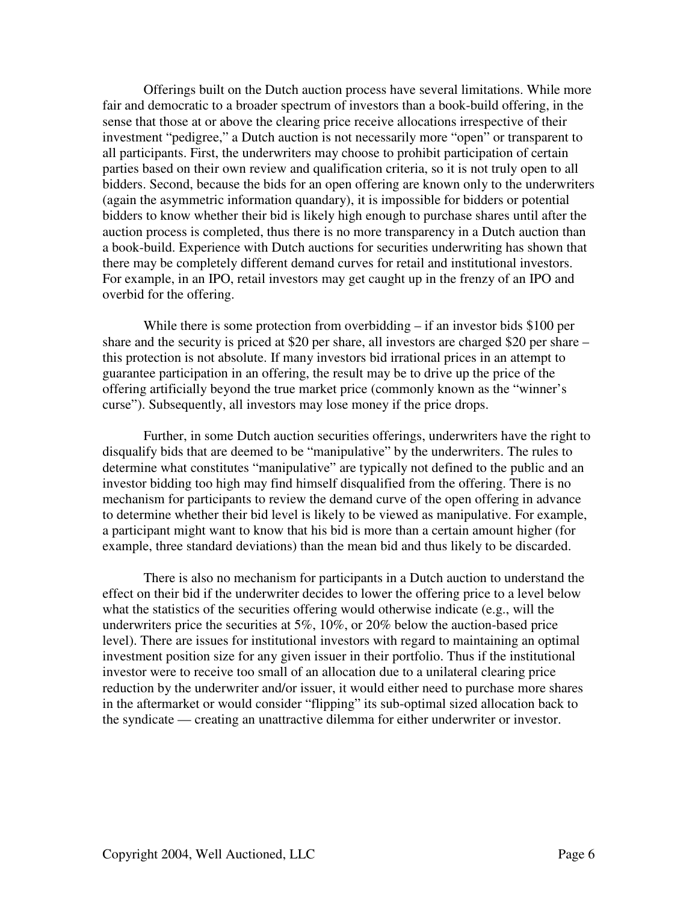Offerings built on the Dutch auction process have several limitations. While more fair and democratic to a broader spectrum of investors than a book-build offering, in the sense that those at or above the clearing price receive allocations irrespective of their investment "pedigree," a Dutch auction is not necessarily more "open" or transparent to all participants. First, the underwriters may choose to prohibit participation of certain parties based on their own review and qualification criteria, so it is not truly open to all bidders. Second, because the bids for an open offering are known only to the underwriters (again the asymmetric information quandary), it is impossible for bidders or potential bidders to know whether their bid is likely high enough to purchase shares until after the auction process is completed, thus there is no more transparency in a Dutch auction than a book-build. Experience with Dutch auctions for securities underwriting has shown that there may be completely different demand curves for retail and institutional investors. For example, in an IPO, retail investors may get caught up in the frenzy of an IPO and overbid for the offering.

While there is some protection from overbidding – if an investor bids \$100 per share and the security is priced at \$20 per share, all investors are charged \$20 per share – this protection is not absolute. If many investors bid irrational prices in an attempt to guarantee participation in an offering, the result may be to drive up the price of the offering artificially beyond the true market price (commonly known as the "winner's curse"). Subsequently, all investors may lose money if the price drops.

Further, in some Dutch auction securities offerings, underwriters have the right to disqualify bids that are deemed to be "manipulative" by the underwriters. The rules to determine what constitutes "manipulative" are typically not defined to the public and an investor bidding too high may find himself disqualified from the offering. There is no mechanism for participants to review the demand curve of the open offering in advance to determine whether their bid level is likely to be viewed as manipulative. For example, a participant might want to know that his bid is more than a certain amount higher (for example, three standard deviations) than the mean bid and thus likely to be discarded.

There is also no mechanism for participants in a Dutch auction to understand the effect on their bid if the underwriter decides to lower the offering price to a level below what the statistics of the securities offering would otherwise indicate (e.g., will the underwriters price the securities at 5%, 10%, or 20% below the auction-based price level). There are issues for institutional investors with regard to maintaining an optimal investment position size for any given issuer in their portfolio. Thus if the institutional investor were to receive too small of an allocation due to a unilateral clearing price reduction by the underwriter and/or issuer, it would either need to purchase more shares in the aftermarket or would consider "flipping" its sub-optimal sized allocation back to the syndicate — creating an unattractive dilemma for either underwriter or investor.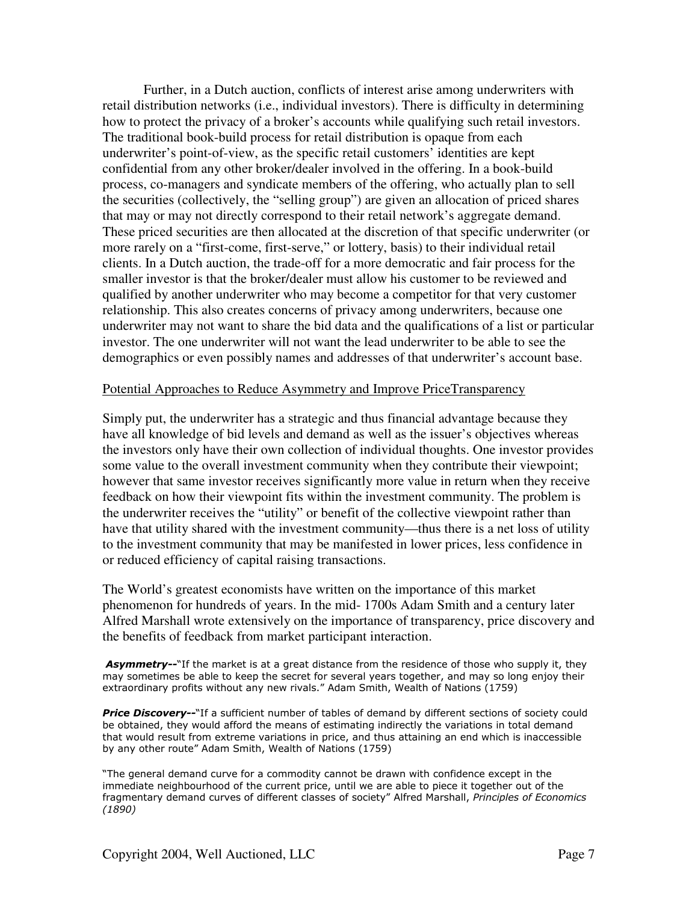Further, in a Dutch auction, conflicts of interest arise among underwriters with retail distribution networks (i.e., individual investors). There is difficulty in determining how to protect the privacy of a broker's accounts while qualifying such retail investors. The traditional book-build process for retail distribution is opaque from each underwriter's point-of-view, as the specific retail customers' identities are kept confidential from any other broker/dealer involved in the offering. In a book-build process, co-managers and syndicate members of the offering, who actually plan to sell the securities (collectively, the "selling group") are given an allocation of priced shares that may or may not directly correspond to their retail network's aggregate demand. These priced securities are then allocated at the discretion of that specific underwriter (or more rarely on a "first-come, first-serve," or lottery, basis) to their individual retail clients. In a Dutch auction, the trade-off for a more democratic and fair process for the smaller investor is that the broker/dealer must allow his customer to be reviewed and qualified by another underwriter who may become a competitor for that very customer relationship. This also creates concerns of privacy among underwriters, because one underwriter may not want to share the bid data and the qualifications of a list or particular investor. The one underwriter will not want the lead underwriter to be able to see the demographics or even possibly names and addresses of that underwriter's account base.

#### Potential Approaches to Reduce Asymmetry and Improve PriceTransparency

Simply put, the underwriter has a strategic and thus financial advantage because they have all knowledge of bid levels and demand as well as the issuer's objectives whereas the investors only have their own collection of individual thoughts. One investor provides some value to the overall investment community when they contribute their viewpoint; however that same investor receives significantly more value in return when they receive feedback on how their viewpoint fits within the investment community. The problem is the underwriter receives the "utility" or benefit of the collective viewpoint rather than have that utility shared with the investment community—thus there is a net loss of utility to the investment community that may be manifested in lower prices, less confidence in or reduced efficiency of capital raising transactions.

The World's greatest economists have written on the importance of this market phenomenon for hundreds of years. In the mid- 1700s Adam Smith and a century later Alfred Marshall wrote extensively on the importance of transparency, price discovery and the benefits of feedback from market participant interaction.

Asymmetry--"If the market is at a great distance from the residence of those who supply it, they may sometimes be able to keep the secret for several years together, and may so long enjoy their extraordinary profits without any new rivals." Adam Smith, Wealth of Nations (1759)

Price Discovery--"If a sufficient number of tables of demand by different sections of society could be obtained, they would afford the means of estimating indirectly the variations in total demand that would result from extreme variations in price, and thus attaining an end which is inaccessible by any other route" Adam Smith, Wealth of Nations (1759)

"The general demand curve for a commodity cannot be drawn with confidence except in the immediate neighbourhood of the current price, until we are able to piece it together out of the fragmentary demand curves of different classes of society" Alfred Marshall, Principles of Economics  $(1890)$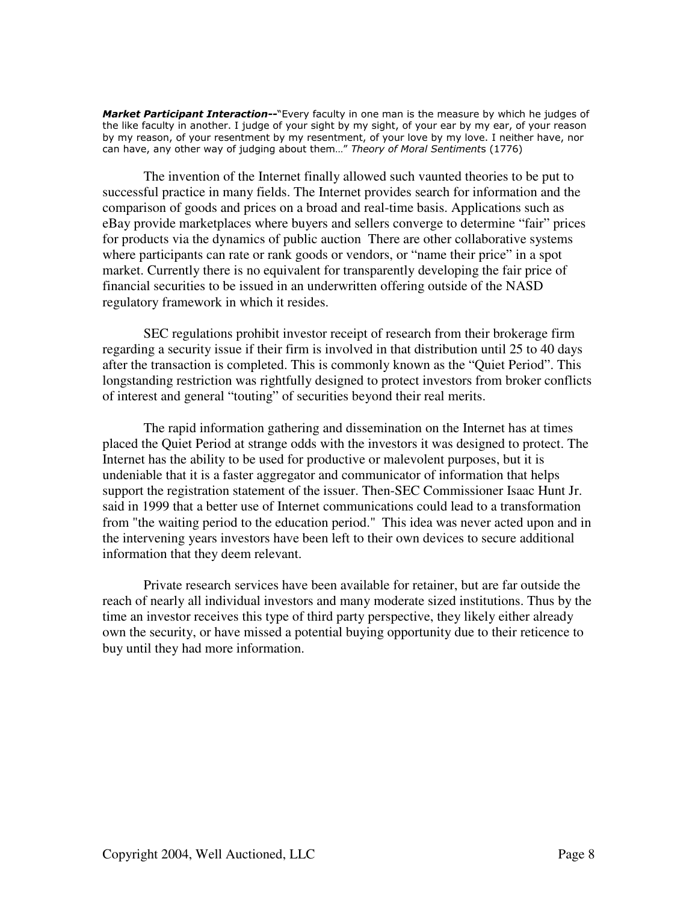Market Participant Interaction--"Every faculty in one man is the measure by which he judges of the like faculty in another. I judge of your sight by my sight, of your ear by my ear, of your reason by my reason, of your resentment by my resentment, of your love by my love. I neither have, nor can have, any other way of judging about them..." Theory of Moral Sentiments (1776)

The invention of the Internet finally allowed such vaunted theories to be put to successful practice in many fields. The Internet provides search for information and the comparison of goods and prices on a broad and real-time basis. Applications such as eBay provide marketplaces where buyers and sellers converge to determine "fair" prices for products via the dynamics of public auction There are other collaborative systems where participants can rate or rank goods or vendors, or "name their price" in a spot market. Currently there is no equivalent for transparently developing the fair price of financial securities to be issued in an underwritten offering outside of the NASD regulatory framework in which it resides.

SEC regulations prohibit investor receipt of research from their brokerage firm regarding a security issue if their firm is involved in that distribution until 25 to 40 days after the transaction is completed. This is commonly known as the "Quiet Period". This longstanding restriction was rightfully designed to protect investors from broker conflicts of interest and general "touting" of securities beyond their real merits.

The rapid information gathering and dissemination on the Internet has at times placed the Quiet Period at strange odds with the investors it was designed to protect. The Internet has the ability to be used for productive or malevolent purposes, but it is undeniable that it is a faster aggregator and communicator of information that helps support the registration statement of the issuer. Then-SEC Commissioner Isaac Hunt Jr. said in 1999 that a better use of Internet communications could lead to a transformation from "the waiting period to the education period." This idea was never acted upon and in the intervening years investors have been left to their own devices to secure additional information that they deem relevant.

Private research services have been available for retainer, but are far outside the reach of nearly all individual investors and many moderate sized institutions. Thus by the time an investor receives this type of third party perspective, they likely either already own the security, or have missed a potential buying opportunity due to their reticence to buy until they had more information.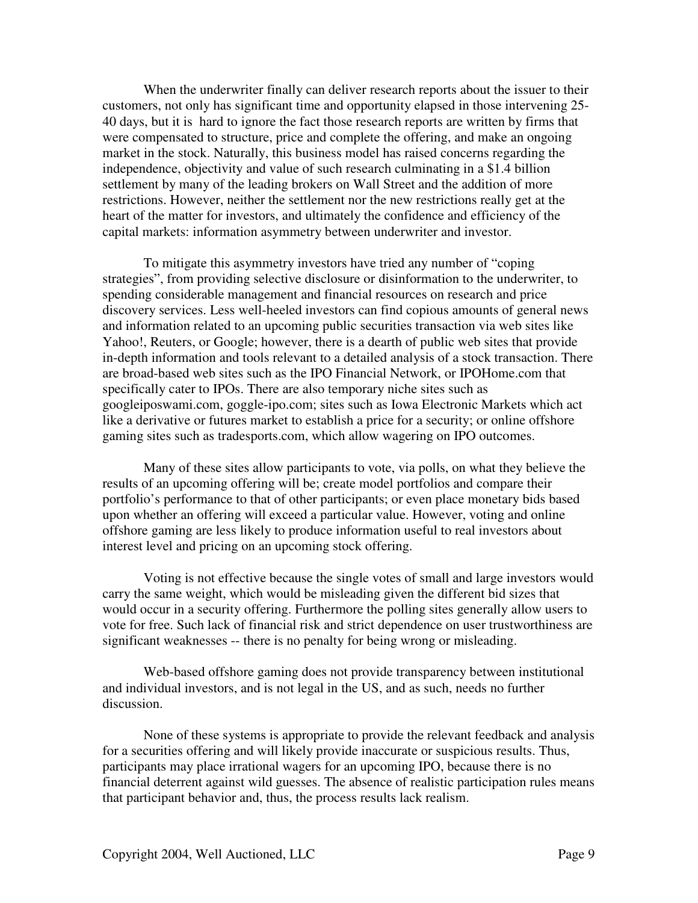When the underwriter finally can deliver research reports about the issuer to their customers, not only has significant time and opportunity elapsed in those intervening 25- 40 days, but it is hard to ignore the fact those research reports are written by firms that were compensated to structure, price and complete the offering, and make an ongoing market in the stock. Naturally, this business model has raised concerns regarding the independence, objectivity and value of such research culminating in a \$1.4 billion settlement by many of the leading brokers on Wall Street and the addition of more restrictions. However, neither the settlement nor the new restrictions really get at the heart of the matter for investors, and ultimately the confidence and efficiency of the capital markets: information asymmetry between underwriter and investor.

To mitigate this asymmetry investors have tried any number of "coping strategies", from providing selective disclosure or disinformation to the underwriter, to spending considerable management and financial resources on research and price discovery services. Less well-heeled investors can find copious amounts of general news and information related to an upcoming public securities transaction via web sites like Yahoo!, Reuters, or Google; however, there is a dearth of public web sites that provide in-depth information and tools relevant to a detailed analysis of a stock transaction. There are broad-based web sites such as the IPO Financial Network, or IPOHome.com that specifically cater to IPOs. There are also temporary niche sites such as googleiposwami.com, goggle-ipo.com; sites such as Iowa Electronic Markets which act like a derivative or futures market to establish a price for a security; or online offshore gaming sites such as tradesports.com, which allow wagering on IPO outcomes.

Many of these sites allow participants to vote, via polls, on what they believe the results of an upcoming offering will be; create model portfolios and compare their portfolio's performance to that of other participants; or even place monetary bids based upon whether an offering will exceed a particular value. However, voting and online offshore gaming are less likely to produce information useful to real investors about interest level and pricing on an upcoming stock offering.

Voting is not effective because the single votes of small and large investors would carry the same weight, which would be misleading given the different bid sizes that would occur in a security offering. Furthermore the polling sites generally allow users to vote for free. Such lack of financial risk and strict dependence on user trustworthiness are significant weaknesses -- there is no penalty for being wrong or misleading.

Web-based offshore gaming does not provide transparency between institutional and individual investors, and is not legal in the US, and as such, needs no further discussion.

None of these systems is appropriate to provide the relevant feedback and analysis for a securities offering and will likely provide inaccurate or suspicious results. Thus, participants may place irrational wagers for an upcoming IPO, because there is no financial deterrent against wild guesses. The absence of realistic participation rules means that participant behavior and, thus, the process results lack realism.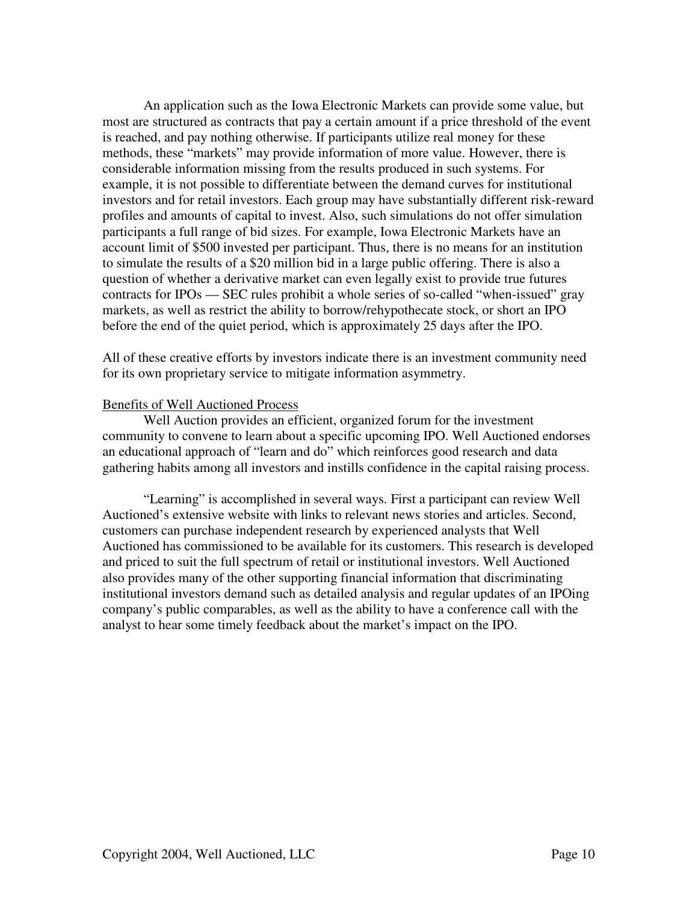An application such as the Iowa Electronic Markets can provide some value, but most are structured as contracts that pay a certain amount if a price threshold of the event is reached, and pay nothing otherwise. If participants utilize real money for these methods, these "markets" may provide information of more value. However, there is considerable information missing from the results produced in such systems. For example, it is not possible to differentiate between the demand curves for institutional investors and for retail investors. Each group may have substantially different risk-reward profiles and amounts of capital to invest. Also, such simulations do not offer simulation participants a full range of bid sizes. For example, Iowa Electronic Markets have an account limit of \$500 invested per participant. Thus, there is no means for an institution to simulate the results of a \$20 million bid in a large public offering. There is also a question of whether a derivative market can even legally exist to provide true futures contracts for IPOs — SEC rules prohibit a whole series of so-called "when-issued" gray markets, as well as restrict the ability to borrow/rehypothecate stock, or short an IPO before the end of the quiet period, which is approximately 25 days after the IPO.

All of these creative efforts by investors indicate there is an investment community need for its own proprietary service to mitigate information asymmetry.

### Benefits of Well Auctioned Process

Well Auction provides an efficient, organized forum for the investment community to convene to learn about a specific upcoming IPO. Well Auctioned endorses an educational approach of "learn and do" which reinforces good research and data gathering habits among all investors and instills confidence in the capital raising process.

"Learning" is accomplished in several ways. First a participant can review Well Auctioned's extensive website with links to relevant news stories and articles. Second, customers can purchase independent research by experienced analysts that Well Auctioned has commissioned to be available for its customers. This research is developed and priced to suit the full spectrum of retail or institutional investors. Well Auctioned also provides many of the other supporting financial information that discriminating institutional investors demand such as detailed analysis and regular updates of an IPOing company's public comparables, as well as the ability to have a conference call with the analyst to hear some timely feedback about the market's impact on the IPO.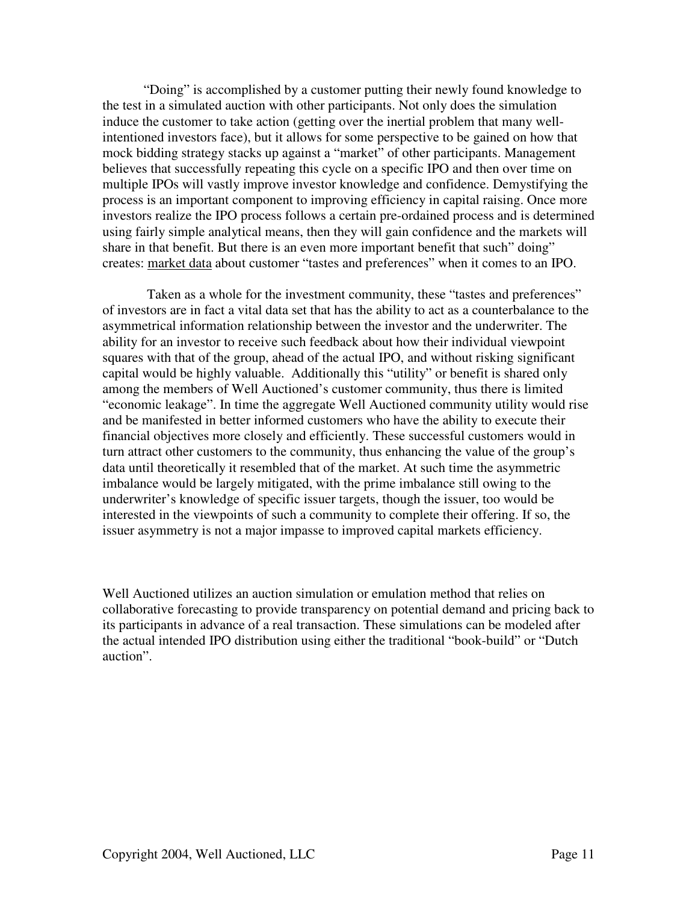"Doing" is accomplished by a customer putting their newly found knowledge to the test in a simulated auction with other participants. Not only does the simulation induce the customer to take action (getting over the inertial problem that many wellintentioned investors face), but it allows for some perspective to be gained on how that mock bidding strategy stacks up against a "market" of other participants. Management believes that successfully repeating this cycle on a specific IPO and then over time on multiple IPOs will vastly improve investor knowledge and confidence. Demystifying the process is an important component to improving efficiency in capital raising. Once more investors realize the IPO process follows a certain pre-ordained process and is determined using fairly simple analytical means, then they will gain confidence and the markets will share in that benefit. But there is an even more important benefit that such" doing" creates: market data about customer "tastes and preferences" when it comes to an IPO.

Taken as a whole for the investment community, these "tastes and preferences" of investors are in fact a vital data set that has the ability to act as a counterbalance to the asymmetrical information relationship between the investor and the underwriter. The ability for an investor to receive such feedback about how their individual viewpoint squares with that of the group, ahead of the actual IPO, and without risking significant capital would be highly valuable. Additionally this "utility" or benefit is shared only among the members of Well Auctioned's customer community, thus there is limited "economic leakage". In time the aggregate Well Auctioned community utility would rise and be manifested in better informed customers who have the ability to execute their financial objectives more closely and efficiently. These successful customers would in turn attract other customers to the community, thus enhancing the value of the group's data until theoretically it resembled that of the market. At such time the asymmetric imbalance would be largely mitigated, with the prime imbalance still owing to the underwriter's knowledge of specific issuer targets, though the issuer, too would be interested in the viewpoints of such a community to complete their offering. If so, the issuer asymmetry is not a major impasse to improved capital markets efficiency.

Well Auctioned utilizes an auction simulation or emulation method that relies on collaborative forecasting to provide transparency on potential demand and pricing back to its participants in advance of a real transaction. These simulations can be modeled after the actual intended IPO distribution using either the traditional "book-build" or "Dutch auction".